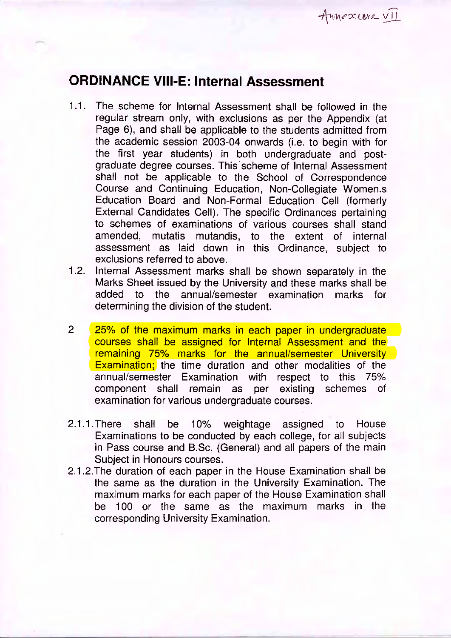## ORDINANCE Vlll-E: Internal Assessment

- 1.1. The scheme for Internal Assessment shall be followed in the regular stream only, with exclusions as per the Appendix (at Page 6), and shall be applicable to the students admitted from the academic session 2003-04 onwards (i.e. to begin with for the first year students) in both undergraduate and postgraduate degree courses. This scheme of Internal Assessment shall not be applicable to the School of Correspondence Course and Continuing Education, Non-Collegiate Women.s Education Board and Non-Formal Education Cell (formerly External Candidates Cell). The specific Ordinances pertaining to schemes of examinations of various courses shall stand amended, mutatis mutandis, to the extent of internal assessment as laid down in this Ordinance, subject to exclusions referred to above.
- 1.2. Internal Assessment marks shall be shown separately in the Marks Sheet issued by the University and these marks shall be added to the annual/semester examination marks for determining the division of the student.
- 2 25% of the maximum marks in each paper in undergraduate courses shall be assigned for Internal Assessment and the remaining 75% marks for the annual/semester University Examination; the time duration and other modalities of the annual/semester Examination with respect to this 75% component shall remain as per existing schemes of examination for various undergraduate courses.
- 2.1.1. There shall be 10% weightage assigned to House Examinations tobe conducted by each college, for all subjects in Pass course and B.Sc. (General) and all papers of the main Subject in Honours courses.
- 2.1.2. The duration of each paper in the House Examination shall be the same as the duration in the University Examination. The maximum marks for each paper of the House Examination shall be 100 or the same as the maximum marks in the corresponding University Examination.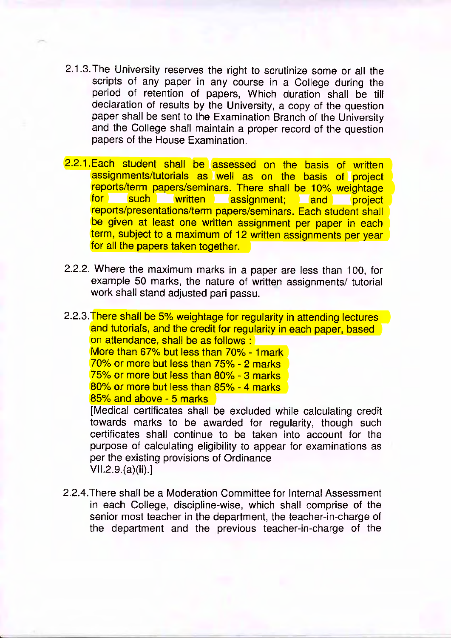- 2.1.3. The University reserves the right to scrutinize some or all the scripts of any paper in any course in a College during the period of retention of papers, Which duration shall be till declaration of results by the University, acopy of the question paper shall be sent to the Examination Branch of the University and the College shall maintain a proper record of the question papers of the House Examination.
- 2.2.1. Each student shall be assessed on the basis of written assignments/tutorials as well as on the basis of project reports/term papers/seminars. There shall be 10% weightage for such written assignment; and project reports/presentations/term papers/seminars. Each student shall be given at least one written assignment per paper in each term, subject to a maximum of 12 written assignments per year for all the papers taken together.
- 2.2.2.Where the maximum marks in a paper are less than 100, for example 50 marks, the nature of written assignments/ tutorial work shall stand adjusted pari passu.

2.2.3. There shall be 5% weightage for regularity in attending lectures and tutorials, and the credit for regularity in each paper, based on attendance, shall be as follows : More than 67% but less than 70% - 1 mark 70% or more but less than 75% - 2 marks 75% or more but less than 80% - 3 marks 80% or more but less than 85% - 4 marks 85% and above - 5 marks [Medical certificates shall be excluded while calculating credit

towards marks to be awarded for regularity, though such certificates shall continue to be taken into account for the purpose of calculating eligibility to appear for examinations as per the existing provisions of Ordinance  $VII.2.9.(a)(ii).1$ 

2.2.4.There shall be a Moderation Committee for lnternal Assessment in each College, discipline-wise, which shall comprise of the senior most teacher in the department, the teacher-in-charge of the department and the previous teacher-in-charge of the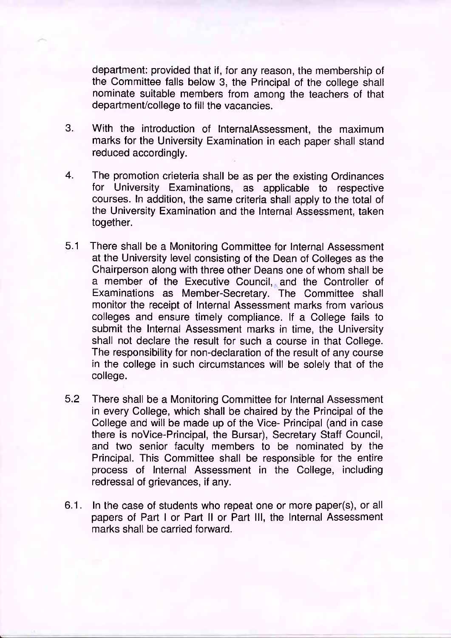department: provided that if, for any reason, the membership of the Committee falls below 3, the Principal of the college shall nominate suitable members from among the teachers of that department/college to fill the vacancies.

- 3. With the introduction of InternalAssessment, the maximum marks for the University Examination in each paper shall stand reduced accordingly.
- 4. The promotion crieteria shall be as per the existing Ordinances for University Examinations, as applicable to respective courses. In addition, the same criteria shall apply to the total of the University Examination and the lnternal Assessment, taken together.
- $5.1$ There shall be a Monitoring Committee for Internal Assessment at the University level consisting of the Dean of Colleges as the Chairperson along with three other Deans one of whom shall be a member of the Executive Council, and the Controller of Examinations as Member-Secretary. The Committee shall monitor the receipt of Internal Assessment marks from various colleges and ensure timely compliance. lf a College fails to submit the Internal Assessment marks in time, the University shall not declare the result for such a course in that College. The responsibility for non-declaration of the result of any course in the college in such circumstances will be solely that of the college.
- There shall be a Monitoring Committee for Internal Assessment in every College, which shall be chaired by the Principal of the College and will be made up of the Vice- Principal (and in case there is noVice-Principal, the Bursar), Secretary Staff Council, and two senior faculty members to be nominated by the Principal. This Committee shall be responsible for the entire process of Internal Assessment in the College, including redressal of grievances, if any. 5.2
- In the case of students who repeat one or more paper(s), or all papers of Part I or Part ll or Part lll, the Internal Assessment marks shall be carried forward. 6.1.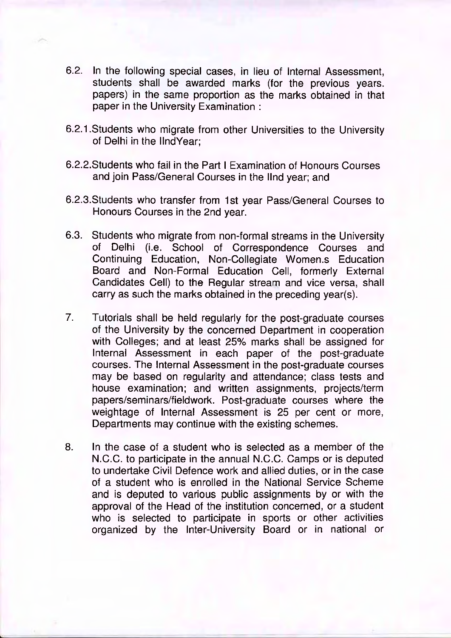- 6.2. In the following special cases, in lieu of Internal Assessment, students shall be awarded marks (for the previous years. papers) in the same proportion as the marks obtained in that paper in the University Examination :
- 6.2.1.Students who migrate from other Universities to the University of Delhi in the llndYear:
- 6.2.2.Students who fail in the Part I Examination of Honours Courses and join Pass/General Courses in the llnd year; and
- 6.2.3.Students who transfer from 1st year Pass/General Courses lo Honours Courses in the 2nd year.
- 6.3. Students who migrate from non-formal streams in the University of Delhi (i.e. School of Correspondence Courses and Continuing Education, Non-Collegiate Women.s Education Board and Non-Formal Education Cell, formerly External Candidates Cell) to the Regular stream and vice versa, shall carry as such the marks obtained in the preceding year(s).
- 7. Tutorials shall be held regularly for the post-graduate courses of the University by the concerned Department in cooperation with Colleges; and at least 25% marks shall be assigned for Internal Assessment in each paper of the post-graduate courses. The Internal Assessment in the post-graduate courses may be based on regularity and attendance; class tests and house examination; and written assignments, projects/term papers/seminars/fieldwork. Post-graduate courses where the weightage of Internal Assessment is 25 per cent or more, Departments may continue with the existing schemes.
- 8. In the case of a student who is selected as a member of the N.C.C. to participate in the annual N.C.C. Camps or is deputed to undertake Civil Defence work and allied duties, or in the case of a student who is enrolled in the National Service Scheme and is deputed to various public assignments by or with the approval of the Head of the institution concerned, or a student who is selected to participate in sports or other activities organized by the Inter-University Board or in national or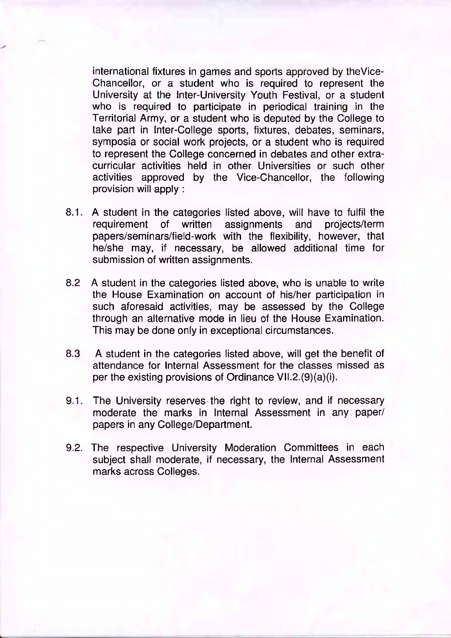international fixtures in games and sports approved by theVice-Chancellor, or a student who is required to represent the University at the Inter-University Youth Festival, or a student who is required to participate in periodical training in the Territorial Army, or a student who is deputed by the College to take part in lnter-College sports, fixtures, debates, seminars, symposia or social work projects, or a student who is required to represent the College concerned in debates and other extracurricular activities held in other Universities or such other activities approved by the Vice-Chancellor, the following provision will apply :

- 8.1. A student in the categories listed above, will have to fulfil the requirement of written assignments and projects/term of written assignments and projects/term papers/seminars/field-work with the flexibility, however, that he/she may, if necessary, be allowed additional time for submission of written assignments.
- 8.2 A student in the categories listed above, who is unable to write the House Examination on account of his/her participation in such aforesaid activities, may be assessed by the College through an alternative mode in lieu of the House Examination. This may be done only in exceptional circumstances.
- 8.3 A student in the categories listed above, will get the benefit of attendance for Internal Assessment for the classes missed as per the existing provisions of Ordinance Vll.z.(9)(a)(i).
- 9.1. The University reserves the right to review, and if necessary moderate the marks in Internal Assessment in any paper/ papers in any College/Department.
- 9.2. The respective University Moderation Committees in each subject shall moderate, if necessary, the Internal Assessment marks across Colleoes.